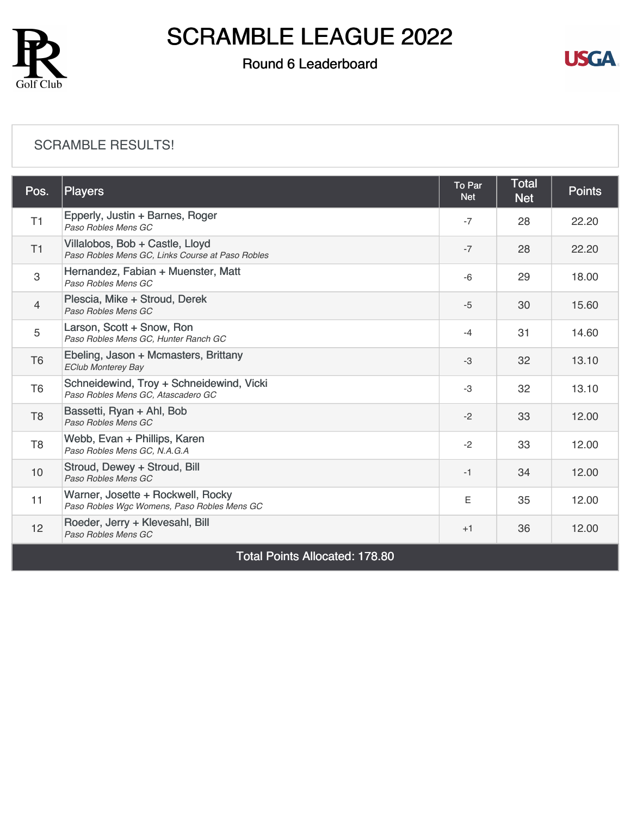

### Round 6 Leaderboard



#### [SCRAMBLE RESULTS!](https://cdn2.golfgenius.com/v2tournaments/8367346451159760782?called_from=&round_index=6)

| Pos.                                  | <b>Players</b>                                                                      | To Par<br><b>Net</b> | <b>Total</b><br><b>Net</b> | <b>Points</b> |  |  |
|---------------------------------------|-------------------------------------------------------------------------------------|----------------------|----------------------------|---------------|--|--|
| T1                                    | Epperly, Justin + Barnes, Roger<br>Paso Robles Mens GC                              | $-7$                 | 28                         | 22.20         |  |  |
| T1                                    | Villalobos, Bob + Castle, Lloyd<br>Paso Robles Mens GC, Links Course at Paso Robles | $-7$                 | 28                         | 22.20         |  |  |
| 3                                     | Hernandez, Fabian + Muenster, Matt<br>Paso Robles Mens GC                           | $-6$                 | 29                         | 18.00         |  |  |
| $\overline{4}$                        | Plescia, Mike + Stroud, Derek<br>Paso Robles Mens GC                                | $-5$                 | 30                         | 15.60         |  |  |
| 5                                     | Larson, Scott + Snow, Ron<br>Paso Robles Mens GC. Hunter Ranch GC                   | $-4$                 | 31                         | 14.60         |  |  |
| T <sub>6</sub>                        | Ebeling, Jason + Mcmasters, Brittany<br><b>EClub Monterey Bay</b>                   | $-3$                 | 32                         | 13.10         |  |  |
| T <sub>6</sub>                        | Schneidewind, Troy + Schneidewind, Vicki<br>Paso Robles Mens GC, Atascadero GC      | $-3$                 | 32                         | 13.10         |  |  |
| T <sub>8</sub>                        | Bassetti, Ryan + Ahl, Bob<br>Paso Robles Mens GC                                    | $-2$                 | 33                         | 12.00         |  |  |
| T <sub>8</sub>                        | Webb, Evan + Phillips, Karen<br>Paso Robles Mens GC, N.A.G.A                        | $-2$                 | 33                         | 12.00         |  |  |
| 10                                    | Stroud, Dewey + Stroud, Bill<br>Paso Robles Mens GC                                 | $-1$                 | 34                         | 12.00         |  |  |
| 11                                    | Warner, Josette + Rockwell, Rocky<br>Paso Robles Wgc Womens, Paso Robles Mens GC    | E                    | 35                         | 12.00         |  |  |
| 12                                    | Roeder, Jerry + Klevesahl, Bill<br>Paso Robles Mens GC                              | $+1$                 | 36                         | 12.00         |  |  |
| <b>Total Points Allocated: 178.80</b> |                                                                                     |                      |                            |               |  |  |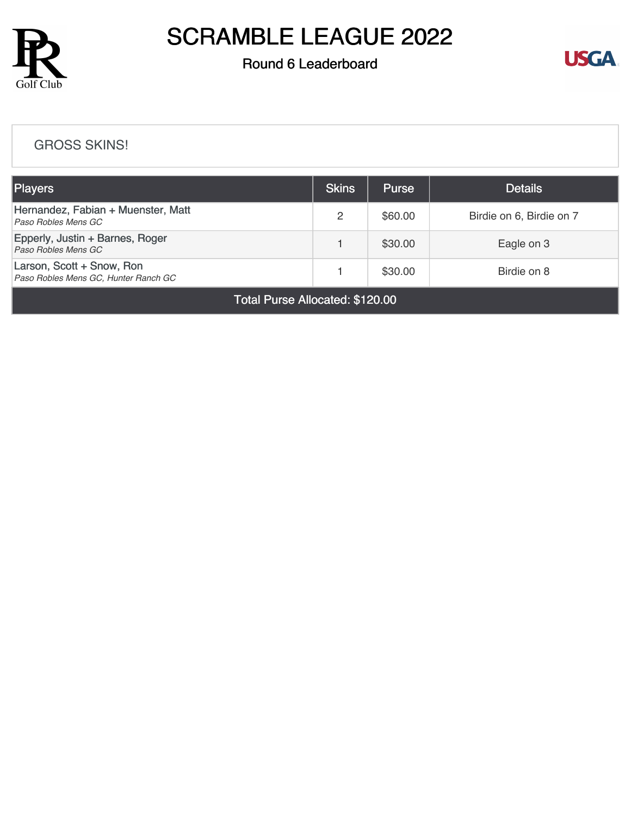

### Round 6 Leaderboard



#### [GROSS SKINS!](https://cdn2.golfgenius.com/v2tournaments/8367195293409656709?called_from=&round_index=6)

| <b>Players</b>                                                    |  | <b>Purse</b> | <b>Details</b>           |  |  |  |
|-------------------------------------------------------------------|--|--------------|--------------------------|--|--|--|
| Hernandez, Fabian + Muenster, Matt<br>Paso Robles Mens GC         |  | \$60.00      | Birdie on 6, Birdie on 7 |  |  |  |
| Epperly, Justin + Barnes, Roger<br>Paso Robles Mens GC            |  | \$30.00      | Eagle on 3               |  |  |  |
| Larson, Scott + Snow, Ron<br>Paso Robles Mens GC, Hunter Ranch GC |  | \$30.00      | Birdie on 8              |  |  |  |
| Total Purse Allocated: \$120.00                                   |  |              |                          |  |  |  |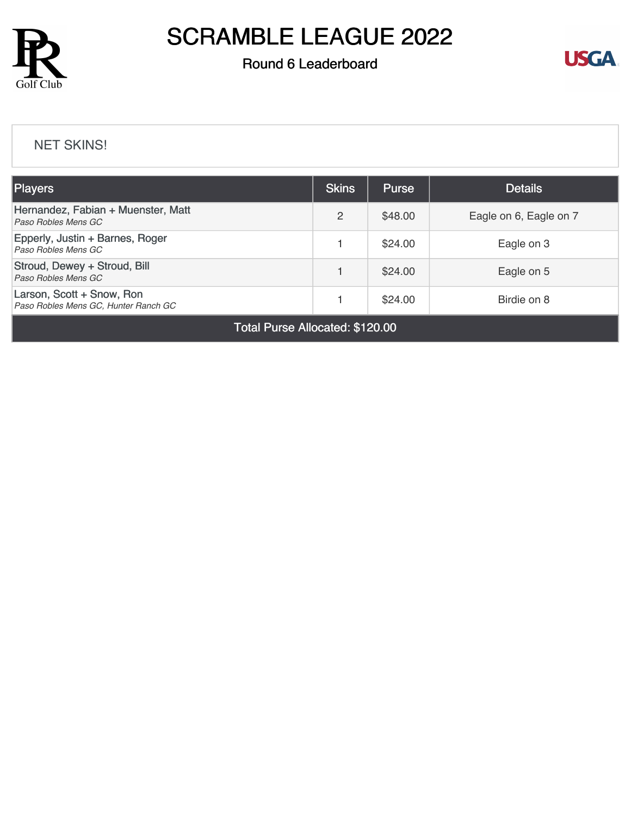

### Round 6 Leaderboard



#### [NET SKINS!](https://cdn2.golfgenius.com/v2tournaments/8367196668134735750?called_from=&round_index=6)

| <b>Players</b>                                                    | <b>Skins</b> | <b>Purse</b> | <b>Details</b>         |  |  |
|-------------------------------------------------------------------|--------------|--------------|------------------------|--|--|
| Hernandez, Fabian + Muenster, Matt<br>Paso Robles Mens GC         |              | \$48.00      | Eagle on 6, Eagle on 7 |  |  |
| Epperly, Justin + Barnes, Roger<br>Paso Robles Mens GC            |              | \$24.00      | Eagle on 3             |  |  |
| Stroud, Dewey + Stroud, Bill<br>Paso Robles Mens GC               |              | \$24.00      | Eagle on 5             |  |  |
| Larson, Scott + Snow, Ron<br>Paso Robles Mens GC, Hunter Ranch GC |              | \$24.00      | Birdie on 8            |  |  |
| - - -                                                             |              |              |                        |  |  |

Total Purse Allocated: \$120.00